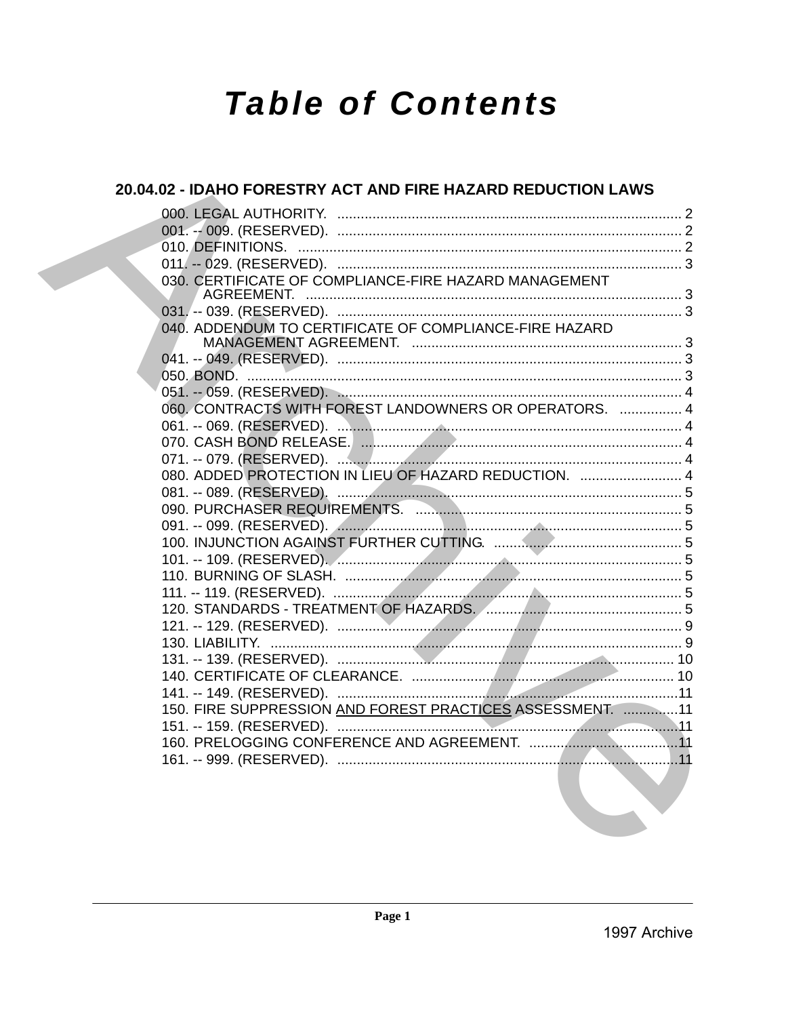# **Table of Contents**

| 20.04.02 - IDAHO FORESTRY ACT AND FIRE HAZARD REDUCTION LAWS                                                                                       |  |
|----------------------------------------------------------------------------------------------------------------------------------------------------|--|
|                                                                                                                                                    |  |
|                                                                                                                                                    |  |
|                                                                                                                                                    |  |
|                                                                                                                                                    |  |
| 030. CERTIFICATE OF COMPLIANCE-FIRE HAZARD MANAGEMENT                                                                                              |  |
|                                                                                                                                                    |  |
|                                                                                                                                                    |  |
| 040. ADDENDUM TO CERTIFICATE OF COMPLIANCE-FIRE HAZARD                                                                                             |  |
|                                                                                                                                                    |  |
|                                                                                                                                                    |  |
|                                                                                                                                                    |  |
| 060. CONTRACTS WITH FOREST LANDOWNERS OR OPERATORS.  4                                                                                             |  |
|                                                                                                                                                    |  |
|                                                                                                                                                    |  |
|                                                                                                                                                    |  |
| 080. ADDED PROTECTION IN LIEU OF HAZARD REDUCTION.  4                                                                                              |  |
|                                                                                                                                                    |  |
|                                                                                                                                                    |  |
|                                                                                                                                                    |  |
|                                                                                                                                                    |  |
|                                                                                                                                                    |  |
|                                                                                                                                                    |  |
|                                                                                                                                                    |  |
|                                                                                                                                                    |  |
|                                                                                                                                                    |  |
|                                                                                                                                                    |  |
|                                                                                                                                                    |  |
|                                                                                                                                                    |  |
|                                                                                                                                                    |  |
| 150. FIRE SUPPRESSION AND FOREST PRACTICES ASSESSMENT. 11                                                                                          |  |
|                                                                                                                                                    |  |
|                                                                                                                                                    |  |
| the contract of the contract of the contract of the contract of the contract of the contract of the contract of<br>the contract of the contract of |  |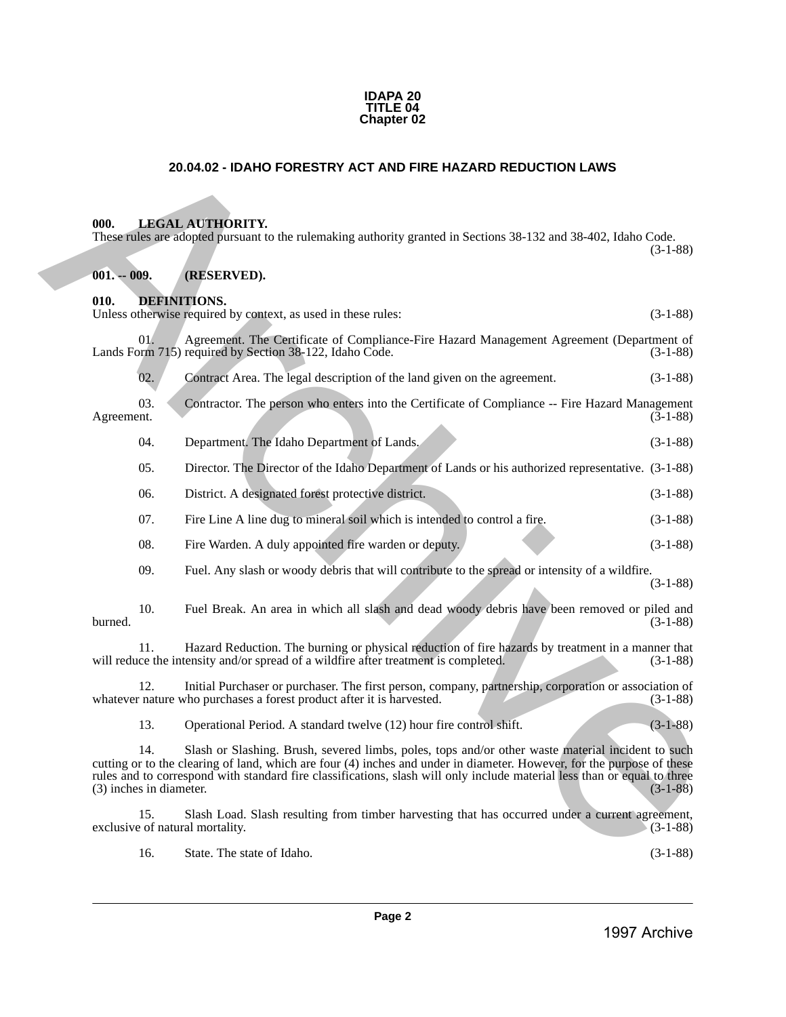#### **IDAPA 20 TITLE 04 Chapter 02**

# **20.04.02 - IDAHO FORESTRY ACT AND FIRE HAZARD REDUCTION LAWS**

# <span id="page-1-1"></span>**000. LEGAL AUTHORITY.**

These rules are adopted pursuant to the rulemaking authority granted in Sections 38-132 and 38-402, Idaho Code.

<span id="page-1-3"></span><span id="page-1-2"></span>**001. -- 009. (RESERVED).**

<span id="page-1-0"></span>**010. DEFINITIONS.**  Unless otherwise required by context, as used in these rules: (3-1-88) 01. Agreement. The Certificate of Compliance-Fire Hazard Management Agreement (Department of orm 715) required by Section 38-122, Idaho Code. (3-1-88) Lands Form 715) required by Section 38-122, Idaho Code. 02. Contract Area. The legal description of the land given on the agreement. (3-1-88) 03. Contractor. The person who enters into the Certificate of Compliance -- Fire Hazard Management (3-1-88) Agreement. (3-1-88) 04. Department. The Idaho Department of Lands. (3-1-88) 05. Director. The Director of the Idaho Department of Lands or his authorized representative. (3-1-88) 06. District. A designated forest protective district. (3-1-88) 07. Fire Line A line dug to mineral soil which is intended to control a fire. (3-1-88) 08. Fire Warden. A duly appointed fire warden or deputy. (3-1-88) 09. Fuel. Any slash or woody debris that will contribute to the spread or intensity of a wildfire. (3-1-88) 10. Fuel Break. An area in which all slash and dead woody debris have been removed or piled and  $b$ urned.  $(3-1-88)$ 11. Hazard Reduction. The burning or physical reduction of fire hazards by treatment in a manner that will reduce the intensity and/or spread of a wildfire after treatment is completed. 12. Initial Purchaser or purchaser. The first person, company, partnership, corporation or association of rature who purchases a forest product after it is harvested. (3-1-88) whatever nature who purchases a forest product after it is harvested. 13. Operational Period. A standard twelve (12) hour fire control shift. (3-1-88) 14. Slash or Slashing. Brush, severed limbs, poles, tops and/or other waste material incident to such cutting or to the clearing of land, which are four (4) inches and under in diameter. However, for the purpose of these **20.04.02 - IDANG FORESTRY ACT AND FIRE HAZARD REDUCTION LAWS<br>
1998.** LINES LA V. TUDORITY.<br>
These radio are allowed particle to the columbing authority granited in Section 36-122 and 36-197, ideas Colours<br>
1998. **Colours** 

15. Slash Load. Slash resulting from timber harvesting that has occurred under a current agreement, exclusive of natural mortality. (3-1-88)

rules and to correspond with standard fire classifications, slash will only include material less than or equal to three  $(3)$  inches in diameter.  $(3-1-88)$ 

16. State. The state of Idaho. (3-1-88)

(3-1-88)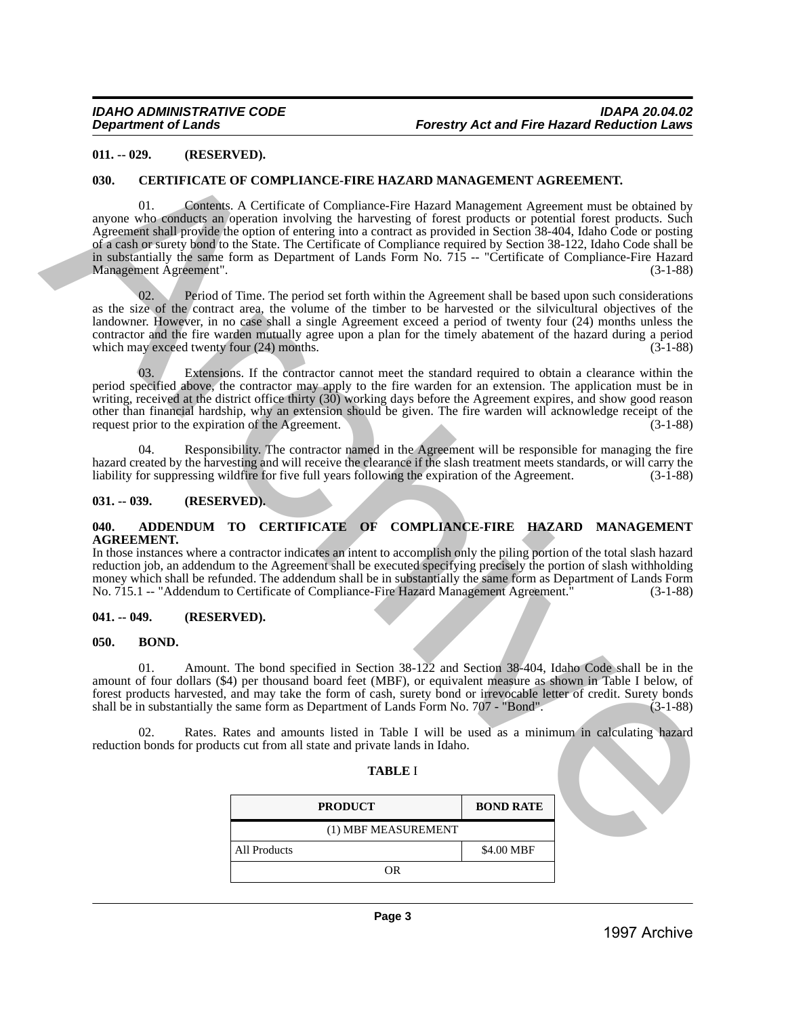#### <span id="page-2-0"></span>**011. -- 029. (RESERVED).**

#### <span id="page-2-1"></span>**030. CERTIFICATE OF COMPLIANCE-FIRE HAZARD MANAGEMENT AGREEMENT.**

01. Contents. A Certificate of Compliance-Fire Hazard Management Agreement must be obtained by anyone who conducts an operation involving the harvesting of forest products or potential forest products. Such Agreement shall provide the option of entering into a contract as provided in Section 38-404, Idaho Code or posting of a cash or surety bond to the State. The Certificate of Compliance required by Section 38-122, Idaho Code shall be in substantially the same form as Department of Lands Form No. 715 -- "Certificate of Compliance-Fire Hazard Management Agreement". (3-1-88) 911. - 629. (ARCHIVERY HAND THE REAL ARD MANACEMENT AGREEMENT.<br>
1990. CREMIFICATED OF COMPLIANCE-PIRE RAZARD MANACEMENT AGREEMENT.<br>
Mayon who compare a consider a consider a consider a form of the state of properties of t

02. Period of Time. The period set forth within the Agreement shall be based upon such considerations as the size of the contract area, the volume of the timber to be harvested or the silvicultural objectives of the landowner. However, in no case shall a single Agreement exceed a period of twenty four (24) months unless the contractor and the fire warden mutually agree upon a plan for the timely abatement of the hazard during a period which may exceed twenty four  $(24)$  months.

Extensions. If the contractor cannot meet the standard required to obtain a clearance within the period specified above, the contractor may apply to the fire warden for an extension. The application must be in writing, received at the district office thirty (30) working days before the Agreement expires, and show good reason other than financial hardship, why an extension should be given. The fire warden will acknowledge receipt of the request prior to the expiration of the Agreement.

04. Responsibility. The contractor named in the Agreement will be responsible for managing the fire hazard created by the harvesting and will receive the clearance if the slash treatment meets standards, or will carry the liability for suppressing wildfire for five full vears following the expiration of the Agreement. (3 liability for suppressing wildfire for five full years following the expiration of the Agreement.

#### <span id="page-2-2"></span>**031. -- 039. (RESERVED).**

#### <span id="page-2-3"></span>**040. ADDENDUM TO CERTIFICATE OF COMPLIANCE-FIRE HAZARD MANAGEMENT AGREEMENT.**

In those instances where a contractor indicates an intent to accomplish only the piling portion of the total slash hazard reduction job, an addendum to the Agreement shall be executed specifying precisely the portion of slash withholding money which shall be refunded. The addendum shall be in substantially the same form as Department of Lands Form<br>No. 715.1 -- "Addendum to Certificate of Compliance-Fire Hazard Management Agreement." (3-1-88) No. 715.1 -- "Addendum to Certificate of Compliance-Fire Hazard Management Agreement."

#### <span id="page-2-4"></span>**041. -- 049. (RESERVED).**

#### <span id="page-2-5"></span>**050. BOND.**

01. Amount. The bond specified in Section 38-122 and Section 38-404, Idaho Code shall be in the amount of four dollars (\$4) per thousand board feet (MBF), or equivalent measure as shown in Table I below, of forest products harvested, and may take the form of cash, surety bond or irrevocable letter of credit. Surety bonds shall be in substantially the same form as Department of Lands Form No. 707 - "Bond". (3-1-88) shall be in substantially the same form as Department of Lands Form No. 707 - "Bond".

02. Rates. Rates and amounts listed in Table I will be used as a minimum in calculating hazard reduction bonds for products cut from all state and private lands in Idaho.

**TABLE** I

| <b>PRODUCT</b>      | <b>BOND RATE</b> |
|---------------------|------------------|
| (1) MBF MEASUREMENT |                  |
| All Products        | \$4.00 MBF       |
| OR                  |                  |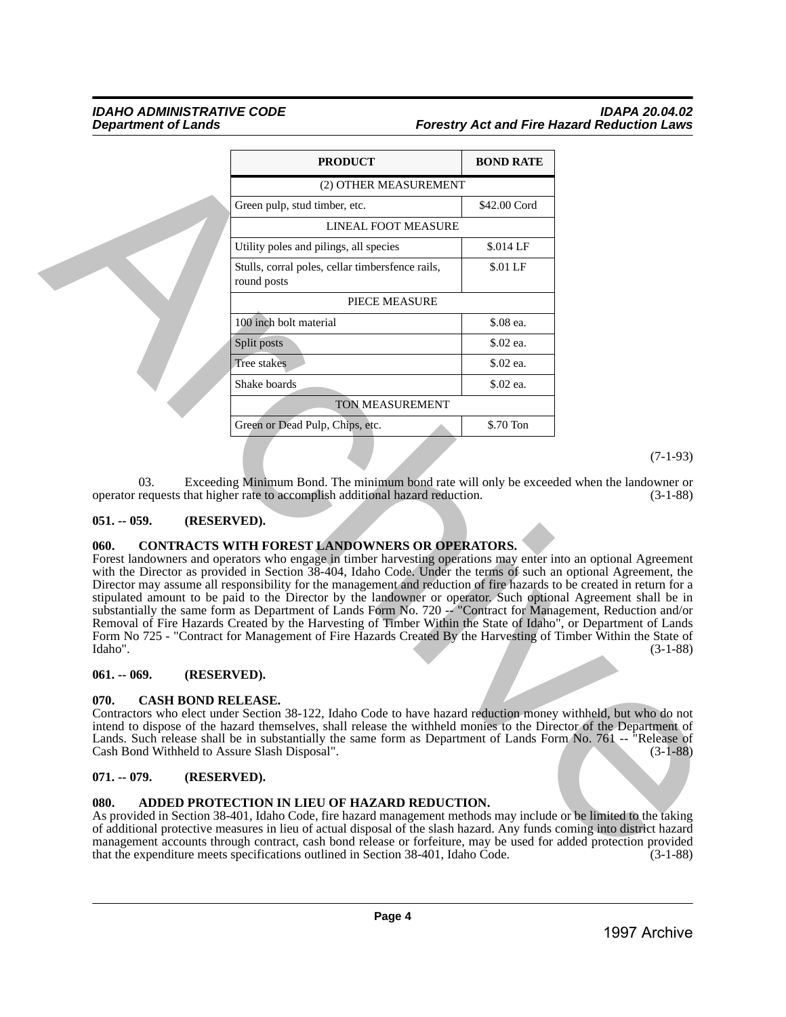# *IDAHO ADMINISTRATIVE CODE IDAPA 20.04.02* **Forestry Act and Fire Hazard Reduction Laws**

| (2) OTHER MEASUREMENT<br>Green pulp, stud timber, etc.<br>LINEAL FOOT MEASURE<br>Utility poles and pilings, all species<br>Stulls, corral poles, cellar timbersfence rails,<br>round posts<br>PIECE MEASURE<br>100 inch bolt material<br>Split posts<br>Tree stakes<br>Shake boards<br>TON MEASUREMENT<br>Green or Dead Pulp, Chips, etc.                                                                                                                                                                                                                                                                                                                                                                                                                                                                                                                                                              | \$42.00 Cord<br>\$.014 LF<br>\$.01 LF<br>\$.08 ea.<br>\$.02 ea.<br>\$.02 ea.<br>\$.02 ea.<br>\$.70 Ton |            |
|--------------------------------------------------------------------------------------------------------------------------------------------------------------------------------------------------------------------------------------------------------------------------------------------------------------------------------------------------------------------------------------------------------------------------------------------------------------------------------------------------------------------------------------------------------------------------------------------------------------------------------------------------------------------------------------------------------------------------------------------------------------------------------------------------------------------------------------------------------------------------------------------------------|--------------------------------------------------------------------------------------------------------|------------|
|                                                                                                                                                                                                                                                                                                                                                                                                                                                                                                                                                                                                                                                                                                                                                                                                                                                                                                        |                                                                                                        |            |
|                                                                                                                                                                                                                                                                                                                                                                                                                                                                                                                                                                                                                                                                                                                                                                                                                                                                                                        |                                                                                                        |            |
|                                                                                                                                                                                                                                                                                                                                                                                                                                                                                                                                                                                                                                                                                                                                                                                                                                                                                                        |                                                                                                        |            |
|                                                                                                                                                                                                                                                                                                                                                                                                                                                                                                                                                                                                                                                                                                                                                                                                                                                                                                        |                                                                                                        |            |
|                                                                                                                                                                                                                                                                                                                                                                                                                                                                                                                                                                                                                                                                                                                                                                                                                                                                                                        |                                                                                                        |            |
|                                                                                                                                                                                                                                                                                                                                                                                                                                                                                                                                                                                                                                                                                                                                                                                                                                                                                                        |                                                                                                        |            |
|                                                                                                                                                                                                                                                                                                                                                                                                                                                                                                                                                                                                                                                                                                                                                                                                                                                                                                        |                                                                                                        |            |
|                                                                                                                                                                                                                                                                                                                                                                                                                                                                                                                                                                                                                                                                                                                                                                                                                                                                                                        |                                                                                                        |            |
|                                                                                                                                                                                                                                                                                                                                                                                                                                                                                                                                                                                                                                                                                                                                                                                                                                                                                                        |                                                                                                        |            |
|                                                                                                                                                                                                                                                                                                                                                                                                                                                                                                                                                                                                                                                                                                                                                                                                                                                                                                        |                                                                                                        |            |
|                                                                                                                                                                                                                                                                                                                                                                                                                                                                                                                                                                                                                                                                                                                                                                                                                                                                                                        |                                                                                                        |            |
|                                                                                                                                                                                                                                                                                                                                                                                                                                                                                                                                                                                                                                                                                                                                                                                                                                                                                                        |                                                                                                        |            |
|                                                                                                                                                                                                                                                                                                                                                                                                                                                                                                                                                                                                                                                                                                                                                                                                                                                                                                        |                                                                                                        | $(7-1-93)$ |
| CONTRACTS WITH FOREST LANDOWNERS OR OPERATORS.<br>060.<br>Forest landowners and operators who engage in timber harvesting operations may enter into an optional Agreement<br>with the Director as provided in Section 38-404, Idaho Code. Under the terms of such an optional Agreement, the<br>Director may assume all responsibility for the management and reduction of fire hazards to be created in return for a<br>stipulated amount to be paid to the Director by the landowner or operator. Such optional Agreement shall be in<br>substantially the same form as Department of Lands Form No. 720 - "Contract for Management, Reduction and/or<br>Removal of Fire Hazards Created by the Harvesting of Timber Within the State of Idaho", or Department of Lands<br>Form No 725 - "Contract for Management of Fire Hazards Created By the Harvesting of Timber Within the State of<br>Idaho". |                                                                                                        | $(3-1-88)$ |
| $061. - 069.$<br>(RESERVED).                                                                                                                                                                                                                                                                                                                                                                                                                                                                                                                                                                                                                                                                                                                                                                                                                                                                           |                                                                                                        |            |
| 070.<br><b>CASH BOND RELEASE.</b><br>Contractors who elect under Section 38-122, Idaho Code to have hazard reduction money withheld, but who do not<br>intend to dispose of the hazard themselves, shall release the withheld monies to the Director of the Department of<br>Lands. Such release shall be in substantially the same form as Department of Lands Form No. 761 -- "Release of<br>Cash Bond Withheld to Assure Slash Disposal".<br>$071. - 079.$<br>(RESERVED).<br>080.<br>ADDED PROTECTION IN LIEU OF HAZARD REDUCTION.<br>As provided in Section 38-401, Idaho Code, fire hazard management methods may include or be limited to the taking                                                                                                                                                                                                                                             |                                                                                                        | $(3-1-88)$ |
| of additional protective measures in lieu of actual disposal of the slash hazard. Any funds coming into district hazard<br>management accounts through contract, cash bond release or forfeiture, may be used for added protection provided<br>that the expenditure meets specifications outlined in Section 38-401, Idaho Code.                                                                                                                                                                                                                                                                                                                                                                                                                                                                                                                                                                       |                                                                                                        | $(3-1-88)$ |
| Page 4                                                                                                                                                                                                                                                                                                                                                                                                                                                                                                                                                                                                                                                                                                                                                                                                                                                                                                 |                                                                                                        |            |

# <span id="page-3-0"></span>**051. -- 059. (RESERVED).**

# <span id="page-3-1"></span>**060. CONTRACTS WITH FOREST LANDOWNERS OR OPERATORS.**

#### <span id="page-3-2"></span>**061. -- 069. (RESERVED).**

#### <span id="page-3-3"></span>**070. CASH BOND RELEASE.**

#### <span id="page-3-4"></span>**071. -- 079. (RESERVED).**

#### <span id="page-3-5"></span>**080. ADDED PROTECTION IN LIEU OF HAZARD REDUCTION.**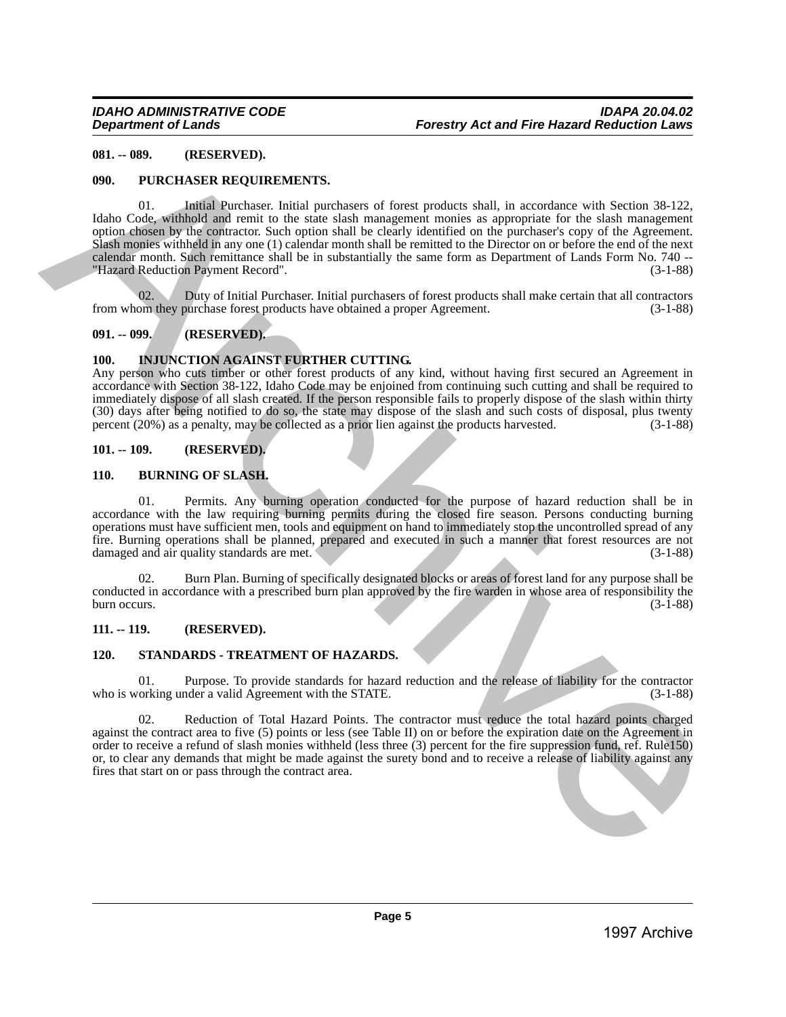### <span id="page-4-0"></span>**081. -- 089. (RESERVED).**

### <span id="page-4-1"></span>**090. PURCHASER REQUIREMENTS.**

01. Initial Purchaser. Initial purchasers of forest products shall, in accordance with Section 38-122, Idaho Code, withhold and remit to the state slash management monies as appropriate for the slash management option chosen by the contractor. Such option shall be clearly identified on the purchaser's copy of the Agreement. Slash monies withheld in any one (1) calendar month shall be remitted to the Director on or before the end of the next calendar month. Such remittance shall be in substantially the same form as Department of Lands Form No. 740 -- "Hazard Reduction Payment Record". (3-1-88) **1997.** (**ILLESCING)**<br>
1996. **PUGCHASSER REQUESSENTS.**<br>
1996. **PUGCHASSER REQUESSENTS.**<br>
1996. Collective Archive Archives and the control methods and the collective Archives Archives Archives Archives Archives Archives A

02. Duty of Initial Purchaser. Initial purchasers of forest products shall make certain that all contractors om they purchase forest products have obtained a proper Agreement. (3-1-88) from whom they purchase forest products have obtained a proper Agreement.

#### <span id="page-4-2"></span>**091. -- 099. (RESERVED).**

# <span id="page-4-3"></span>**100. INJUNCTION AGAINST FURTHER CUTTING.**

Any person who cuts timber or other forest products of any kind, without having first secured an Agreement in accordance with Section 38-122, Idaho Code may be enjoined from continuing such cutting and shall be required to immediately dispose of all slash created. If the person responsible fails to properly dispose of the slash within thirty (30) days after being notified to do so, the state may dispose of the slash and such costs of disposal, plus twenty percent  $(20%)$  as a penalty, may be collected as a prior lien against the products harvested.  $(3-1-88)$ percent (20%) as a penalty, may be collected as a prior lien against the products harvested.

#### <span id="page-4-4"></span>**101. -- 109. (RESERVED).**

#### <span id="page-4-5"></span>**110. BURNING OF SLASH.**

01. Permits. Any burning operation conducted for the purpose of hazard reduction shall be in accordance with the law requiring burning permits during the closed fire season. Persons conducting burning operations must have sufficient men, tools and equipment on hand to immediately stop the uncontrolled spread of any fire. Burning operations shall be planned, prepared and executed in such a manner that forest resources are not damaged and air quality standards are met. (3-1-88) damaged and air quality standards are met.

02. Burn Plan. Burning of specifically designated blocks or areas of forest land for any purpose shall be conducted in accordance with a prescribed burn plan approved by the fire warden in whose area of responsibility the burn occurs. (3-1-88)

# <span id="page-4-6"></span>**111. -- 119. (RESERVED).**

#### <span id="page-4-7"></span>**120. STANDARDS - TREATMENT OF HAZARDS.**

01. Purpose. To provide standards for hazard reduction and the release of liability for the contractor who is working under a valid Agreement with the STATE. (3-1-88)

02. Reduction of Total Hazard Points. The contractor must reduce the total hazard points charged against the contract area to five (5) points or less (see Table II) on or before the expiration date on the Agreement in order to receive a refund of slash monies withheld (less three (3) percent for the fire suppression fund, ref. Rule150) or, to clear any demands that might be made against the surety bond and to receive a release of liability against any fires that start on or pass through the contract area.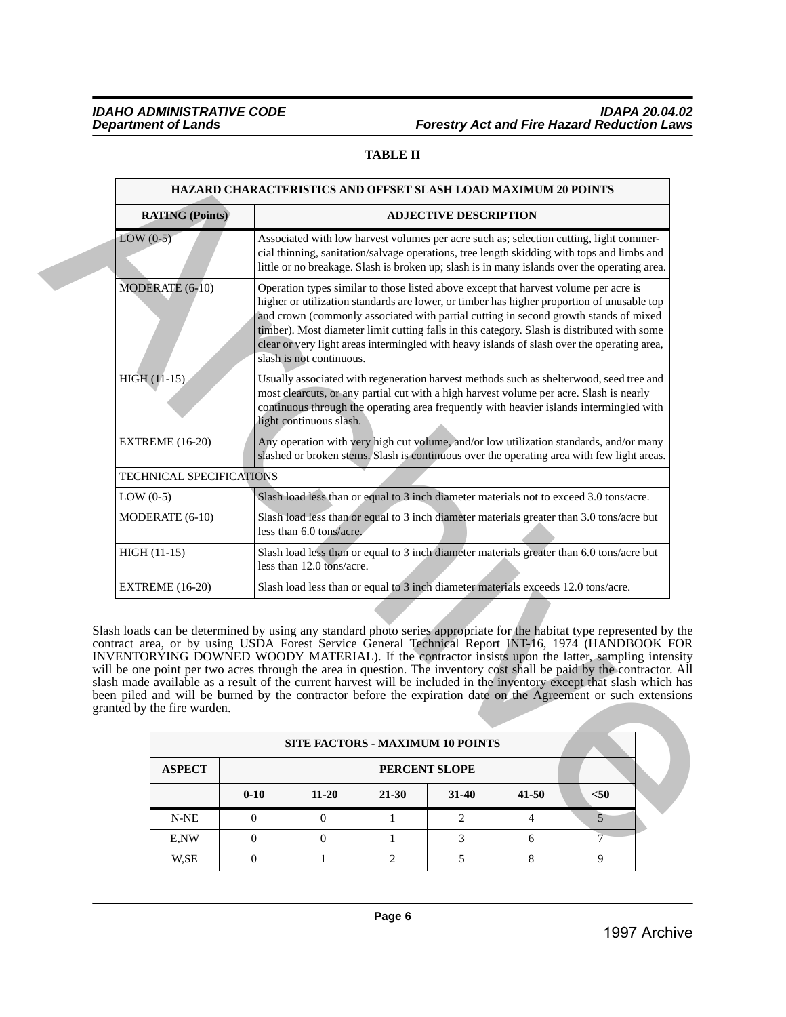# **TABLE II**

|                | <b>RATING (Points)</b>      |                                  |                              |                                                                                                                                                                                                                                                                                                                                                                                                                                                                                                                                                                                                                                                                                                                                                 | <b>ADJECTIVE DESCRIPTION</b> |                |                        |  |
|----------------|-----------------------------|----------------------------------|------------------------------|-------------------------------------------------------------------------------------------------------------------------------------------------------------------------------------------------------------------------------------------------------------------------------------------------------------------------------------------------------------------------------------------------------------------------------------------------------------------------------------------------------------------------------------------------------------------------------------------------------------------------------------------------------------------------------------------------------------------------------------------------|------------------------------|----------------|------------------------|--|
| $LOW(0-5)$     |                             |                                  |                              | Associated with low harvest volumes per acre such as; selection cutting, light commer-<br>cial thinning, sanitation/salvage operations, tree length skidding with tops and limbs and<br>little or no breakage. Slash is broken up; slash is in many islands over the operating area.                                                                                                                                                                                                                                                                                                                                                                                                                                                            |                              |                |                        |  |
|                | MODERATE (6-10)             |                                  | slash is not continuous.     | Operation types similar to those listed above except that harvest volume per acre is<br>higher or utilization standards are lower, or timber has higher proportion of unusable top<br>and crown (commonly associated with partial cutting in second growth stands of mixed<br>timber). Most diameter limit cutting falls in this category. Slash is distributed with some<br>clear or very light areas intermingled with heavy islands of slash over the operating area,                                                                                                                                                                                                                                                                        |                              |                |                        |  |
| HIGH (11-15)   |                             |                                  | light continuous slash.      | Usually associated with regeneration harvest methods such as shelterwood, seed tree and<br>most clearcuts, or any partial cut with a high harvest volume per acre. Slash is nearly<br>continuous through the operating area frequently with heavier islands intermingled with                                                                                                                                                                                                                                                                                                                                                                                                                                                                   |                              |                |                        |  |
|                | <b>EXTREME</b> (16-20)      |                                  |                              | Any operation with very high cut volume, and/or low utilization standards, and/or many<br>slashed or broken stems. Slash is continuous over the operating area with few light areas.                                                                                                                                                                                                                                                                                                                                                                                                                                                                                                                                                            |                              |                |                        |  |
|                | TECHNICAL SPECIFICATIONS    |                                  |                              |                                                                                                                                                                                                                                                                                                                                                                                                                                                                                                                                                                                                                                                                                                                                                 |                              |                |                        |  |
| LOW $(0-5)$    |                             |                                  |                              | Slash load less than or equal to 3 inch diameter materials not to exceed 3.0 tons/acre.                                                                                                                                                                                                                                                                                                                                                                                                                                                                                                                                                                                                                                                         |                              |                |                        |  |
|                | MODERATE (6-10)             |                                  | less than 6.0 tons/acre.     | Slash load less than or equal to 3 inch diameter materials greater than 3.0 tons/acre but                                                                                                                                                                                                                                                                                                                                                                                                                                                                                                                                                                                                                                                       |                              |                |                        |  |
| $HIGH (11-15)$ |                             |                                  | less than 12.0 tons/acre.    | Slash load less than or equal to 3 inch diameter materials greater than 6.0 tons/acre but                                                                                                                                                                                                                                                                                                                                                                                                                                                                                                                                                                                                                                                       |                              |                |                        |  |
|                |                             |                                  |                              |                                                                                                                                                                                                                                                                                                                                                                                                                                                                                                                                                                                                                                                                                                                                                 |                              |                |                        |  |
|                | <b>EXTREME</b> (16-20)      |                                  |                              | Slash load less than or equal to 3 inch diameter materials exceeds 12.0 tons/acre.                                                                                                                                                                                                                                                                                                                                                                                                                                                                                                                                                                                                                                                              |                              |                |                        |  |
|                | granted by the fire warden. |                                  |                              | Slash loads can be determined by using any standard photo series appropriate for the habitat type represented by the<br>contract area, or by using USDA Forest Service General Technical Report INT-16, 1974 (HANDBOOK FOR<br>INVENTORYING DOWNED WOODY MATERIAL). If the contractor insists upon the latter, sampling intensity<br>will be one point per two acres through the area in question. The inventory cost shall be paid by the contractor. All<br>slash made available as a result of the current harvest will be included in the inventory except that slash which has<br>been piled and will be burned by the contractor before the expiration date on the Agreement or such extensions<br><b>SITE FACTORS - MAXIMUM 10 POINTS</b> |                              |                |                        |  |
|                |                             |                                  |                              |                                                                                                                                                                                                                                                                                                                                                                                                                                                                                                                                                                                                                                                                                                                                                 |                              |                |                        |  |
|                | <b>ASPECT</b>               |                                  |                              | PERCENT SLOPE                                                                                                                                                                                                                                                                                                                                                                                                                                                                                                                                                                                                                                                                                                                                   |                              |                |                        |  |
|                |                             | $0 - 10$                         | $11 - 20$                    | $21 - 30$                                                                                                                                                                                                                                                                                                                                                                                                                                                                                                                                                                                                                                                                                                                                       | 31-40                        | $41 - 50$      | $50$                   |  |
|                | $N-NE$                      | $\overline{0}$                   | $\overline{0}$               | 1                                                                                                                                                                                                                                                                                                                                                                                                                                                                                                                                                                                                                                                                                                                                               | $\overline{2}$               | $\overline{4}$ | $5\overline{)}$        |  |
|                | E,NW<br>W,SE                | $\boldsymbol{0}$<br>$\mathbf{0}$ | $\mathbf{0}$<br>$\mathbf{1}$ | $\mathbf{1}$<br>$\overline{c}$                                                                                                                                                                                                                                                                                                                                                                                                                                                                                                                                                                                                                                                                                                                  | 3<br>5                       | 6<br>$\,8\,$   | $\overline{\tau}$<br>9 |  |

|               |          |           |           | <b>SITE FACTORS - MAXIMUM 10 POINTS</b> |           |      |  |
|---------------|----------|-----------|-----------|-----------------------------------------|-----------|------|--|
| <b>ASPECT</b> |          |           |           | PERCENT SLOPE                           |           |      |  |
|               | $0 - 10$ | $11 - 20$ | $21 - 30$ | $31-40$                                 | $41 - 50$ | $50$ |  |
| N-NE          |          |           |           |                                         |           |      |  |
| E,NW          |          |           |           |                                         |           |      |  |
| W,SE          |          |           |           |                                         |           |      |  |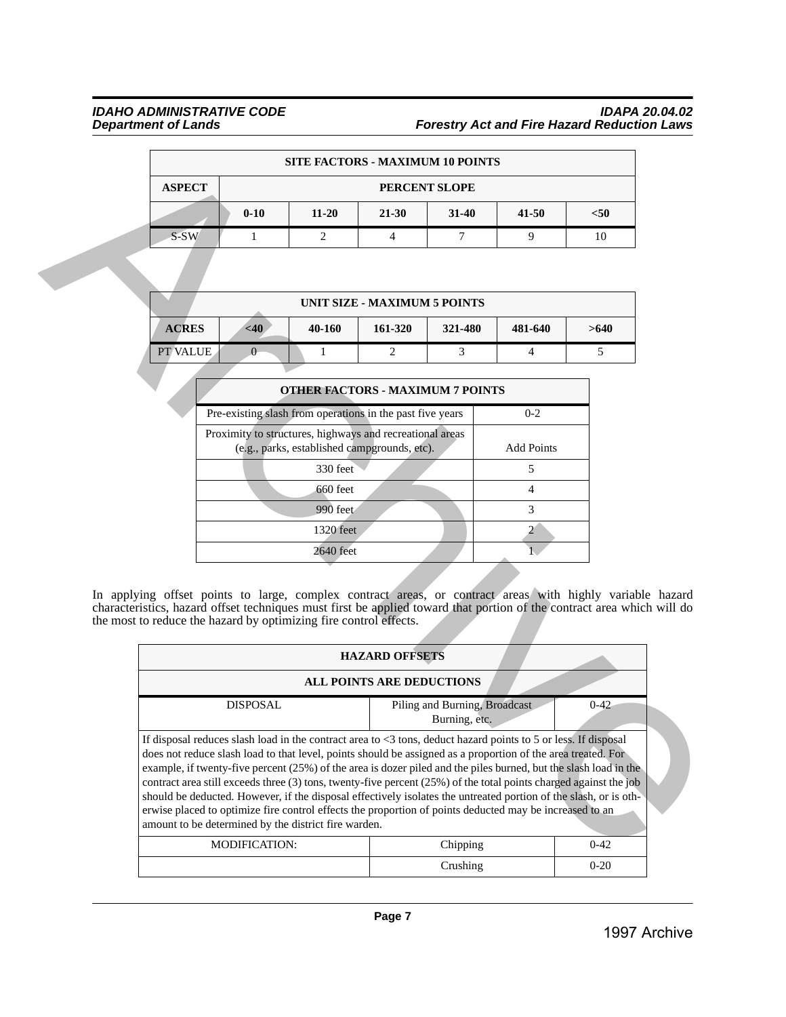# *IDAHO ADMINISTRATIVE CODE IDAPA 20.04.02 Department of Lands Forestry Act and Fire Hazard Reduction Laws*

|               | <b>SITE FACTORS - MAXIMUM 10 POINTS</b> |           |       |               |           |      |  |  |
|---------------|-----------------------------------------|-----------|-------|---------------|-----------|------|--|--|
| <b>ASPECT</b> |                                         |           |       | PERCENT SLOPE |           |      |  |  |
|               | $0 - 10$                                | $11 - 20$ | 21-30 | $31 - 40$     | $41 - 50$ | $50$ |  |  |
| S-SW          |                                         | ⌒         |       |               |           |      |  |  |

|                 |        |        | UNIT SIZE - MAXIMUM 5 POINTS |         |         |      |
|-----------------|--------|--------|------------------------------|---------|---------|------|
| <b>ACRES</b>    | $<$ 40 | 40-160 | 161-320                      | 321-480 | 481-640 | >640 |
| <b>PT VALUE</b> |        |        |                              |         |         |      |

| <b>OTHER FACTORS - MAXIMUM 7 POINTS</b>                                                                  |                   |
|----------------------------------------------------------------------------------------------------------|-------------------|
| Pre-existing slash from operations in the past five years                                                | $0 - 2$           |
| Proximity to structures, highways and recreational areas<br>(e.g., parks, established campgrounds, etc). | <b>Add Points</b> |
| 330 feet                                                                                                 | 5                 |
| 660 feet                                                                                                 |                   |
| 990 feet                                                                                                 | 3                 |
| 1320 feet                                                                                                |                   |
| 2640 feet                                                                                                |                   |

|               |                                                                                                                                                                                                                                                                                                                                                                                                                                                                                                                                                                                                                                                                                                                                                                  |                                              | <b>SITE FACTORS - MAXIMUM 10 POINTS</b> |                                                |                   |          |
|---------------|------------------------------------------------------------------------------------------------------------------------------------------------------------------------------------------------------------------------------------------------------------------------------------------------------------------------------------------------------------------------------------------------------------------------------------------------------------------------------------------------------------------------------------------------------------------------------------------------------------------------------------------------------------------------------------------------------------------------------------------------------------------|----------------------------------------------|-----------------------------------------|------------------------------------------------|-------------------|----------|
| <b>ASPECT</b> |                                                                                                                                                                                                                                                                                                                                                                                                                                                                                                                                                                                                                                                                                                                                                                  |                                              |                                         | PERCENT SLOPE                                  |                   |          |
|               | $0 - 10$                                                                                                                                                                                                                                                                                                                                                                                                                                                                                                                                                                                                                                                                                                                                                         | $11 - 20$                                    | $21 - 30$                               | $31 - 40$                                      | $41 - 50$         | $<$ 50   |
| S-SW          | 1                                                                                                                                                                                                                                                                                                                                                                                                                                                                                                                                                                                                                                                                                                                                                                | 2                                            | $\overline{4}$                          | $\tau$                                         | 9                 | 10       |
|               |                                                                                                                                                                                                                                                                                                                                                                                                                                                                                                                                                                                                                                                                                                                                                                  |                                              |                                         |                                                |                   |          |
|               |                                                                                                                                                                                                                                                                                                                                                                                                                                                                                                                                                                                                                                                                                                                                                                  |                                              | <b>UNIT SIZE - MAXIMUM 5 POINTS</b>     |                                                |                   |          |
| <b>ACRES</b>  | <40                                                                                                                                                                                                                                                                                                                                                                                                                                                                                                                                                                                                                                                                                                                                                              | 40-160                                       | 161-320                                 | 321-480                                        | 481-640           | >640     |
| PT VALUE      | $\theta$                                                                                                                                                                                                                                                                                                                                                                                                                                                                                                                                                                                                                                                                                                                                                         | $\mathbf{1}$                                 | $\overline{2}$                          | 3                                              | $\overline{4}$    | 5        |
|               |                                                                                                                                                                                                                                                                                                                                                                                                                                                                                                                                                                                                                                                                                                                                                                  |                                              |                                         |                                                |                   |          |
|               |                                                                                                                                                                                                                                                                                                                                                                                                                                                                                                                                                                                                                                                                                                                                                                  | <b>OTHER FACTORS - MAXIMUM 7 POINTS</b>      |                                         |                                                |                   |          |
|               | Pre-existing slash from operations in the past five years                                                                                                                                                                                                                                                                                                                                                                                                                                                                                                                                                                                                                                                                                                        |                                              |                                         |                                                | $0 - 2$           |          |
|               | Proximity to structures, highways and recreational areas                                                                                                                                                                                                                                                                                                                                                                                                                                                                                                                                                                                                                                                                                                         | (e.g., parks, established campgrounds, etc). |                                         |                                                | <b>Add Points</b> |          |
|               |                                                                                                                                                                                                                                                                                                                                                                                                                                                                                                                                                                                                                                                                                                                                                                  | 330 feet                                     |                                         |                                                | 5                 |          |
|               |                                                                                                                                                                                                                                                                                                                                                                                                                                                                                                                                                                                                                                                                                                                                                                  | 660 feet                                     |                                         |                                                | $\overline{4}$    |          |
|               |                                                                                                                                                                                                                                                                                                                                                                                                                                                                                                                                                                                                                                                                                                                                                                  |                                              |                                         |                                                |                   |          |
|               |                                                                                                                                                                                                                                                                                                                                                                                                                                                                                                                                                                                                                                                                                                                                                                  | 990 feet                                     |                                         |                                                | 3                 |          |
|               |                                                                                                                                                                                                                                                                                                                                                                                                                                                                                                                                                                                                                                                                                                                                                                  | 1320 feet                                    |                                         |                                                | 2 <sup>1</sup>    |          |
|               |                                                                                                                                                                                                                                                                                                                                                                                                                                                                                                                                                                                                                                                                                                                                                                  | 2640 feet                                    |                                         |                                                |                   |          |
|               | In applying offset points to large, complex contract areas, or contract areas with highly variable hazard<br>characteristics, hazard offset techniques must first be applied toward that portion of the contract area which will do<br>the most to reduce the hazard by optimizing fire control effects.                                                                                                                                                                                                                                                                                                                                                                                                                                                         |                                              |                                         |                                                |                   |          |
|               |                                                                                                                                                                                                                                                                                                                                                                                                                                                                                                                                                                                                                                                                                                                                                                  |                                              | <b>HAZARD OFFSETS</b>                   |                                                |                   |          |
|               | <b>DISPOSAL</b>                                                                                                                                                                                                                                                                                                                                                                                                                                                                                                                                                                                                                                                                                                                                                  |                                              | ALL POINTS ARE DEDUCTIONS               | Piling and Burning, Broadcast<br>Burning, etc. |                   | $0 - 42$ |
|               | If disposal reduces slash load in the contract area to $<3$ tons, deduct hazard points to 5 or less. If disposal<br>does not reduce slash load to that level, points should be assigned as a proportion of the area treated. For<br>example, if twenty-five percent (25%) of the area is dozer piled and the piles burned, but the slash load in the<br>contract area still exceeds three (3) tons, twenty-five percent (25%) of the total points charged against the job<br>should be deducted. However, if the disposal effectively isolates the untreated portion of the slash, or is oth-<br>erwise placed to optimize fire control effects the proportion of points deducted may be increased to an<br>amount to be determined by the district fire warden. |                                              |                                         |                                                |                   |          |
|               | MODIFICATION:                                                                                                                                                                                                                                                                                                                                                                                                                                                                                                                                                                                                                                                                                                                                                    |                                              |                                         | Chipping                                       |                   | $0 - 42$ |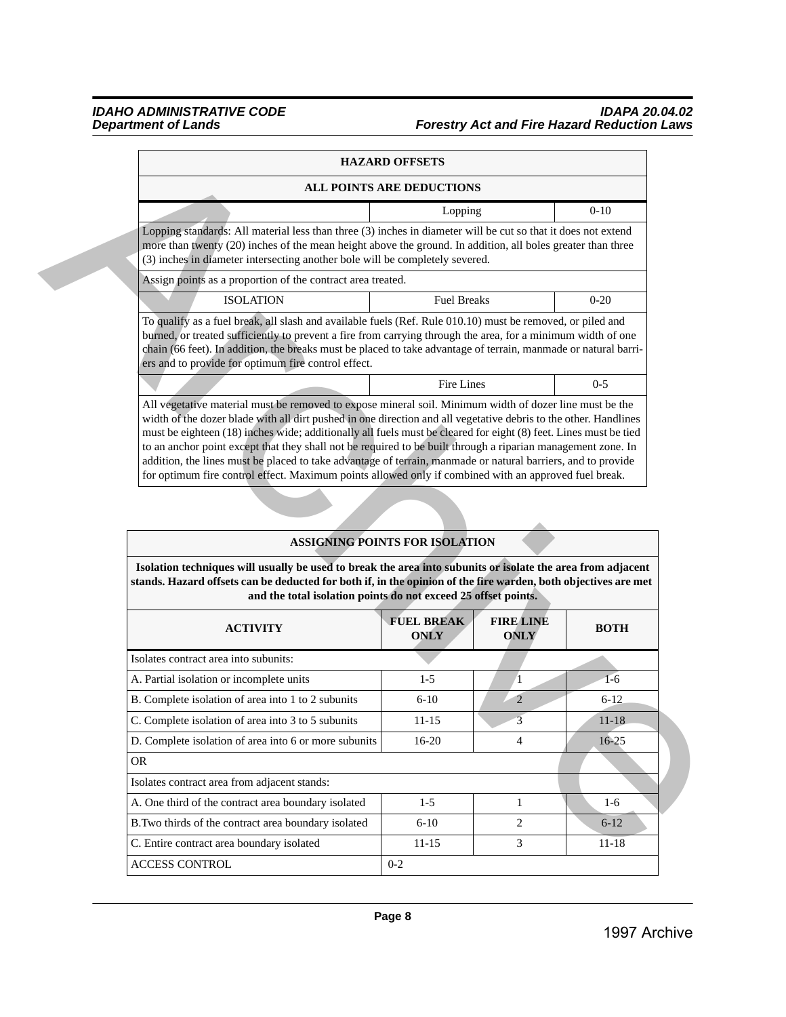# *IDAHO ADMINISTRATIVE CODE IDAPA 20.04.02 Department of Lands Forestry Act and Fire Hazard Reduction Laws*

|                                                                                                                                                                                                                                                                                                                                                                                                                                                                                                                                                                                                                                                                                          | <b>HAZARD OFFSETS</b>            |         |
|------------------------------------------------------------------------------------------------------------------------------------------------------------------------------------------------------------------------------------------------------------------------------------------------------------------------------------------------------------------------------------------------------------------------------------------------------------------------------------------------------------------------------------------------------------------------------------------------------------------------------------------------------------------------------------------|----------------------------------|---------|
|                                                                                                                                                                                                                                                                                                                                                                                                                                                                                                                                                                                                                                                                                          | <b>ALL POINTS ARE DEDUCTIONS</b> |         |
|                                                                                                                                                                                                                                                                                                                                                                                                                                                                                                                                                                                                                                                                                          | Lopping                          | $0-10$  |
| Lopping standards: All material less than three (3) inches in diameter will be cut so that it does not extend<br>more than twenty (20) inches of the mean height above the ground. In addition, all boles greater than three<br>(3) inches in diameter intersecting another bole will be completely severed.                                                                                                                                                                                                                                                                                                                                                                             |                                  |         |
| Assign points as a proportion of the contract area treated.                                                                                                                                                                                                                                                                                                                                                                                                                                                                                                                                                                                                                              |                                  |         |
| <b>ISOLATION</b>                                                                                                                                                                                                                                                                                                                                                                                                                                                                                                                                                                                                                                                                         | <b>Fuel Breaks</b>               | $0-20$  |
| To qualify as a fuel break, all slash and available fuels (Ref. Rule 010.10) must be removed, or piled and<br>burned, or treated sufficiently to prevent a fire from carrying through the area, for a minimum width of one<br>chain (66 feet). In addition, the breaks must be placed to take advantage of terrain, manmade or natural barri-<br>ers and to provide for optimum fire control effect.                                                                                                                                                                                                                                                                                     |                                  |         |
|                                                                                                                                                                                                                                                                                                                                                                                                                                                                                                                                                                                                                                                                                          | Fire Lines                       | $0 - 5$ |
| All vegetative material must be removed to expose mineral soil. Minimum width of dozer line must be the<br>width of the dozer blade with all dirt pushed in one direction and all vegetative debris to the other. Handlines<br>must be eighteen (18) inches wide; additionally all fuels must be cleared for eight (8) feet. Lines must be tied<br>to an anchor point except that they shall not be required to be built through a riparian management zone. In<br>addition, the lines must be placed to take advantage of terrain, manmade or natural barriers, and to provide<br>for optimum fire control effect. Maximum points allowed only if combined with an approved fuel break. |                                  |         |

|                                                                                                                                                                                                                                                                                                                                                                                                                                                                                                                                                     | ALL POINTS ARE DEDUCTIONS             |                  |             |
|-----------------------------------------------------------------------------------------------------------------------------------------------------------------------------------------------------------------------------------------------------------------------------------------------------------------------------------------------------------------------------------------------------------------------------------------------------------------------------------------------------------------------------------------------------|---------------------------------------|------------------|-------------|
|                                                                                                                                                                                                                                                                                                                                                                                                                                                                                                                                                     | Lopping                               |                  | $0 - 10$    |
| Lopping standards: All material less than three (3) inches in diameter will be cut so that it does not extend<br>more than twenty (20) inches of the mean height above the ground. In addition, all boles greater than three<br>(3) inches in diameter intersecting another bole will be completely severed.                                                                                                                                                                                                                                        |                                       |                  |             |
| Assign points as a proportion of the contract area treated.                                                                                                                                                                                                                                                                                                                                                                                                                                                                                         |                                       |                  |             |
| <b>ISOLATION</b>                                                                                                                                                                                                                                                                                                                                                                                                                                                                                                                                    | <b>Fuel Breaks</b>                    |                  | $0 - 20$    |
| To qualify as a fuel break, all slash and available fuels (Ref. Rule 010.10) must be removed, or piled and<br>burned, or treated sufficiently to prevent a fire from carrying through the area, for a minimum width of one<br>chain (66 feet). In addition, the breaks must be placed to take advantage of terrain, manmade or natural barri-<br>ers and to provide for optimum fire control effect.                                                                                                                                                |                                       |                  |             |
|                                                                                                                                                                                                                                                                                                                                                                                                                                                                                                                                                     | Fire Lines                            |                  | $0 - 5$     |
| to an anchor point except that they shall not be required to be built through a riparian management zone. In<br>addition, the lines must be placed to take advantage of terrain, manmade or natural barriers, and to provide<br>for optimum fire control effect. Maximum points allowed only if combined with an approved fuel break.                                                                                                                                                                                                               | <b>ASSIGNING POINTS FOR ISOLATION</b> |                  |             |
| and the total isolation points do not exceed 25 offset points.                                                                                                                                                                                                                                                                                                                                                                                                                                                                                      | <b>FUEL BREAK</b>                     | <b>FIRE LINE</b> |             |
| <b>ACTIVITY</b>                                                                                                                                                                                                                                                                                                                                                                                                                                                                                                                                     | <b>ONLY</b>                           | <b>ONLY</b>      | <b>BOTH</b> |
|                                                                                                                                                                                                                                                                                                                                                                                                                                                                                                                                                     |                                       |                  |             |
|                                                                                                                                                                                                                                                                                                                                                                                                                                                                                                                                                     | $1-5$                                 | 1                | $1-6$       |
|                                                                                                                                                                                                                                                                                                                                                                                                                                                                                                                                                     | $6 - 10$                              | $\overline{2}$   | $6 - 12$    |
|                                                                                                                                                                                                                                                                                                                                                                                                                                                                                                                                                     | 11-15                                 |                  | 11-18       |
| Isolation techniques will usually be used to break the area into subunits or isolate the area from adjacent                                                                                                                                                                                                                                                                                                                                                                                                                                         | $16-20$                               | 4                | $16 - 25$   |
|                                                                                                                                                                                                                                                                                                                                                                                                                                                                                                                                                     |                                       |                  |             |
|                                                                                                                                                                                                                                                                                                                                                                                                                                                                                                                                                     |                                       |                  |             |
|                                                                                                                                                                                                                                                                                                                                                                                                                                                                                                                                                     | $1 - 5$                               | 1                | $1-6$       |
| stands. Hazard offsets can be deducted for both if, in the opinion of the fire warden, both objectives are met<br>Isolates contract area into subunits:<br>A. Partial isolation or incomplete units<br>B. Complete isolation of area into 1 to 2 subunits<br>C. Complete isolation of area into 3 to 5 subunits<br>D. Complete isolation of area into 6 or more subunits<br><b>OR</b><br>Isolates contract area from adjacent stands:<br>A. One third of the contract area boundary isolated<br>B.Two thirds of the contract area boundary isolated | $6 - 10$                              | $\overline{2}$   | $6 - 12$    |
| C. Entire contract area boundary isolated                                                                                                                                                                                                                                                                                                                                                                                                                                                                                                           | $11 - 15$                             | 3                | $11 - 18$   |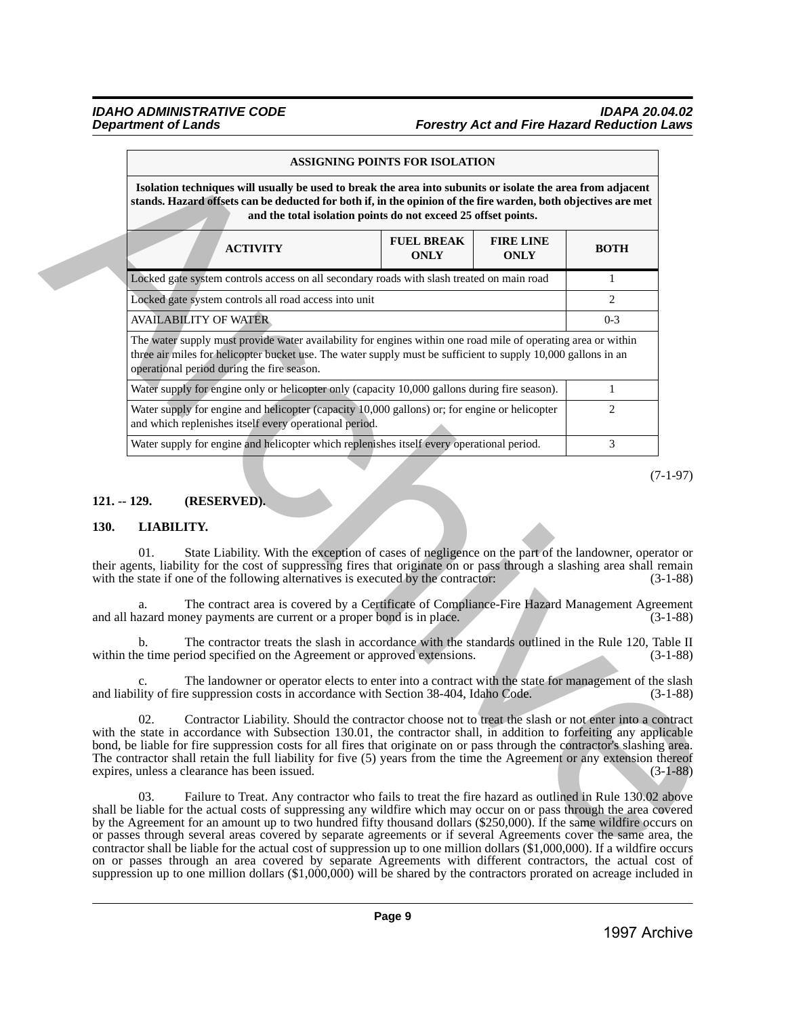# *IDAHO ADMINISTRATIVE CODE IDAPA 20.04.02 Forestry Act and Fire Hazard Reduction Laws*

|             |                                                                                                                                                                                                                                                                                                                                                                                                                                                                                                                                                                                                                                                                                                                                                                                                                                                      | ASSIGNING POINTS FOR ISOLATION   |                                 |                |
|-------------|------------------------------------------------------------------------------------------------------------------------------------------------------------------------------------------------------------------------------------------------------------------------------------------------------------------------------------------------------------------------------------------------------------------------------------------------------------------------------------------------------------------------------------------------------------------------------------------------------------------------------------------------------------------------------------------------------------------------------------------------------------------------------------------------------------------------------------------------------|----------------------------------|---------------------------------|----------------|
|             | Isolation techniques will usually be used to break the area into subunits or isolate the area from adjacent<br>stands. Hazard offsets can be deducted for both if, in the opinion of the fire warden, both objectives are met<br>and the total isolation points do not exceed 25 offset points.                                                                                                                                                                                                                                                                                                                                                                                                                                                                                                                                                      |                                  |                                 |                |
|             | <b>ACTIVITY</b>                                                                                                                                                                                                                                                                                                                                                                                                                                                                                                                                                                                                                                                                                                                                                                                                                                      | <b>FUEL BREAK</b><br><b>ONLY</b> | <b>FIRE LINE</b><br><b>ONLY</b> | <b>BOTH</b>    |
|             | Locked gate system controls access on all secondary roads with slash treated on main road                                                                                                                                                                                                                                                                                                                                                                                                                                                                                                                                                                                                                                                                                                                                                            |                                  |                                 | 1              |
|             | Locked gate system controls all road access into unit                                                                                                                                                                                                                                                                                                                                                                                                                                                                                                                                                                                                                                                                                                                                                                                                |                                  |                                 | $\overline{c}$ |
|             | <b>AVAILABILITY OF WATER</b>                                                                                                                                                                                                                                                                                                                                                                                                                                                                                                                                                                                                                                                                                                                                                                                                                         |                                  |                                 | $0 - 3$        |
|             | The water supply must provide water availability for engines within one road mile of operating area or within<br>three air miles for helicopter bucket use. The water supply must be sufficient to supply 10,000 gallons in an<br>operational period during the fire season.                                                                                                                                                                                                                                                                                                                                                                                                                                                                                                                                                                         |                                  |                                 |                |
|             | Water supply for engine only or helicopter only (capacity 10,000 gallons during fire season).                                                                                                                                                                                                                                                                                                                                                                                                                                                                                                                                                                                                                                                                                                                                                        |                                  |                                 | $\mathbf{1}$   |
|             | Water supply for engine and helicopter (capacity 10,000 gallons) or; for engine or helicopter<br>and which replenishes itself every operational period.                                                                                                                                                                                                                                                                                                                                                                                                                                                                                                                                                                                                                                                                                              |                                  |                                 | 2              |
|             | Water supply for engine and helicopter which replenishes itself every operational period.                                                                                                                                                                                                                                                                                                                                                                                                                                                                                                                                                                                                                                                                                                                                                            |                                  |                                 | 3              |
| <b>130.</b> | (RESERVED).<br>LIABILITY.                                                                                                                                                                                                                                                                                                                                                                                                                                                                                                                                                                                                                                                                                                                                                                                                                            |                                  |                                 |                |
|             | State Liability. With the exception of cases of negligence on the part of the landowner, operator or<br>01.                                                                                                                                                                                                                                                                                                                                                                                                                                                                                                                                                                                                                                                                                                                                          |                                  |                                 |                |
|             | their agents, liability for the cost of suppressing fires that originate on or pass through a slashing area shall remain<br>with the state if one of the following alternatives is executed by the contractor:                                                                                                                                                                                                                                                                                                                                                                                                                                                                                                                                                                                                                                       |                                  |                                 | $(3-1-88)$     |
|             | The contract area is covered by a Certificate of Compliance-Fire Hazard Management Agreement<br>a.<br>and all hazard money payments are current or a proper bond is in place.                                                                                                                                                                                                                                                                                                                                                                                                                                                                                                                                                                                                                                                                        |                                  |                                 | $(3-1-88)$     |
|             | The contractor treats the slash in accordance with the standards outlined in the Rule 120, Table II<br>b.<br>within the time period specified on the Agreement or approved extensions.                                                                                                                                                                                                                                                                                                                                                                                                                                                                                                                                                                                                                                                               |                                  |                                 | $(3-1-88)$     |
|             | The landowner or operator elects to enter into a contract with the state for management of the slash<br>and liability of fire suppression costs in accordance with Section 38-404, Idaho Code.                                                                                                                                                                                                                                                                                                                                                                                                                                                                                                                                                                                                                                                       |                                  |                                 | $(3-1-88)$     |
|             | 02.<br>Contractor Liability. Should the contractor choose not to treat the slash or not enter into a contract<br>with the state in accordance with Subsection 130.01, the contractor shall, in addition to forfeiting any applicable<br>bond, be liable for fire suppression costs for all fires that originate on or pass through the contractor's slashing area.<br>The contractor shall retain the full liability for five (5) years from the time the Agreement or any extension thereof<br>expires, unless a clearance has been issued.                                                                                                                                                                                                                                                                                                         |                                  |                                 | $(3-1-88)$     |
|             | 03.<br>Failure to Treat. Any contractor who fails to treat the fire hazard as outlined in Rule 130.02 above<br>shall be liable for the actual costs of suppressing any wildfire which may occur on or pass through the area covered<br>by the Agreement for an amount up to two hundred fifty thousand dollars (\$250,000). If the same wildfire occurs on<br>or passes through several areas covered by separate agreements or if several Agreements cover the same area, the<br>contractor shall be liable for the actual cost of suppression up to one million dollars (\$1,000,000). If a wildfire occurs<br>on or passes through an area covered by separate Agreements with different contractors, the actual cost of<br>suppression up to one million dollars (\$1,000,000) will be shared by the contractors prorated on acreage included in |                                  |                                 |                |

#### (7-1-97)

# <span id="page-8-0"></span>**121. -- 129. (RESERVED).**

# <span id="page-8-1"></span>**130. LIABILITY.**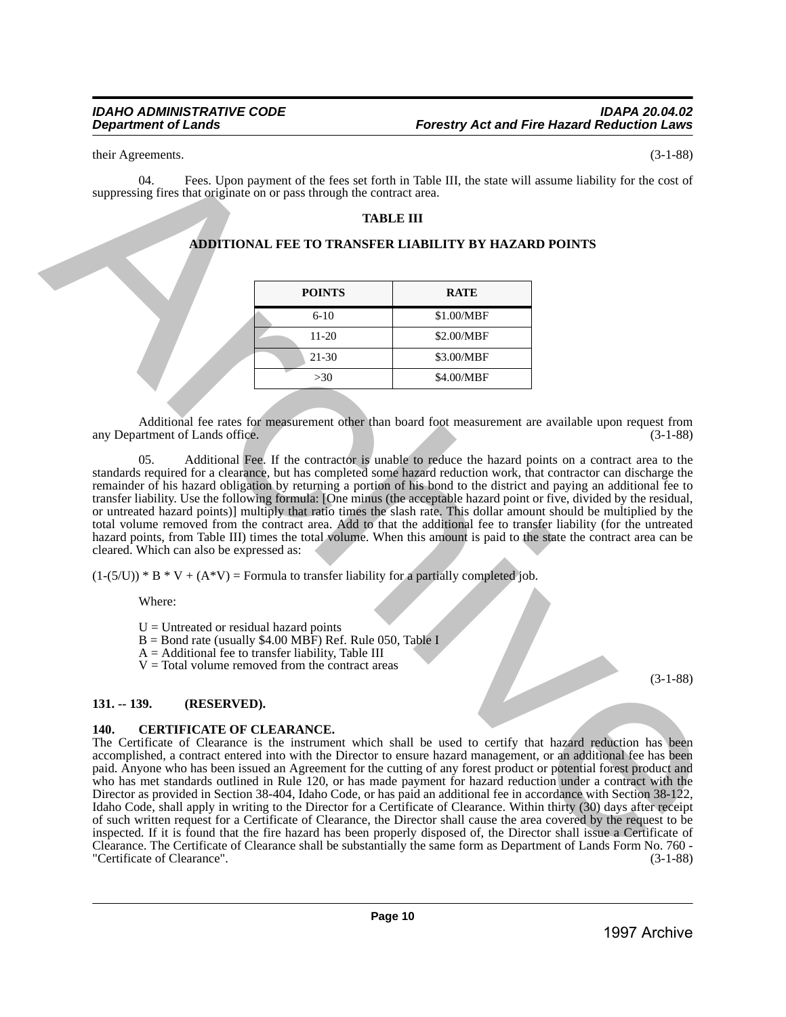their Agreements. (3-1-88)

04. Fees. Upon payment of the fees set forth in Table III, the state will assume liability for the cost of suppressing fires that originate on or pass through the contract area.

# **TABLE III**

# **ADDITIONAL FEE TO TRANSFER LIABILITY BY HAZARD POINTS**

| <b>POINTS</b> | <b>RATE</b> |
|---------------|-------------|
| $6-10$        | \$1.00/MBF  |
| $11 - 20$     | \$2.00/MBF  |
| $21 - 30$     | \$3.00/MBF  |
| >30           | \$4.00/MBF  |

Additional fee rates for measurement other than board foot measurement are available upon request from artment of Lands office. (3-1-88) any Department of Lands office.

05. Additional Fee. If the contractor is unable to reduce the hazard points on a contract area to the standards required for a clearance, but has completed some hazard reduction work, that contractor can discharge the remainder of his hazard obligation by returning a portion of his bond to the district and paying an additional fee to transfer liability. Use the following formula: [One minus (the acceptable hazard point or five, divided by the residual, or untreated hazard points)] multiply that ratio times the slash rate. This dollar amount should be multiplied by the total volume removed from the contract area. Add to that the additional fee to transfer liability (for the untreated hazard points, from Table III) times the total volume. When this amount is paid to the state the contract area can be cleared. Which can also be expressed as:

 $(1-(5/U))^* B^* V + (A^*V)$  = Formula to transfer liability for a partially completed job.

Where:

 $U =$  Untreated or residual hazard points

- $B =$ Bond rate (usually \$4.00 MBF) Ref. Rule 050, Table I
- A = Additional fee to transfer liability, Table III
- $V = Total$  volume removed from the contract areas

# <span id="page-9-0"></span>**131. -- 139. (RESERVED).**

# <span id="page-9-1"></span>**140. CERTIFICATE OF CLEARANCE.**

The Certificate of Clearance is the instrument which shall be used to certify that hazard reduction has been accomplished, a contract entered into with the Director to ensure hazard management, or an additional fee has been paid. Anyone who has been issued an Agreement for the cutting of any forest product or potential forest product and who has met standards outlined in Rule 120, or has made payment for hazard reduction under a contract with the Director as provided in Section 38-404, Idaho Code, or has paid an additional fee in accordance with Section 38-122, Idaho Code, shall apply in writing to the Director for a Certificate of Clearance. Within thirty (30) days after receipt of such written request for a Certificate of Clearance, the Director shall cause the area covered by the request to be inspected. If it is found that the fire hazard has been properly disposed of, the Director shall issue a Certificate of Clearance. The Certificate of Clearance shall be substantially the same form as Department of Lands Form No. 760 - "Certificate of Clearance". (3-1-88) their Appendix Total (See Alpon propose of the fact is et fortuna Table III, it is since will assume interest the control of the super-<br>
suppression for the originality on o pass finally that **FIME THE CONDUCT TO THE COND** 

(3-1-88)